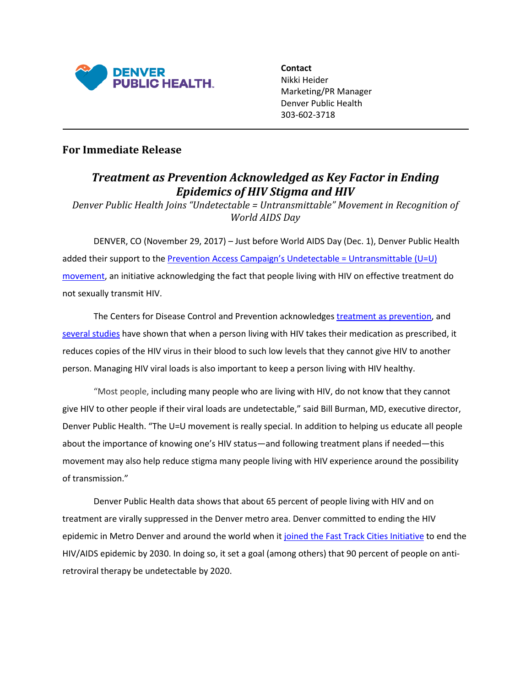

**Contact** Nikki Heider Marketing/PR Manager Denver Public Health 303-602-3718

## **For Immediate Release**

## *Treatment as Prevention Acknowledged as Key Factor in Ending Epidemics of HIV Stigma and HIV*

*Denver Public Health Joins "Undetectable = Untransmittable" Movement in Recognition of World AIDS Day*

DENVER, CO (November 29, 2017) – Just before World AIDS Day (Dec. 1), Denver Public Health added their support to the [Prevention Access Campaign's Undetectable = Untransmittable \(U=U\)](https://www.preventionaccess.org/about)  [movement,](https://www.preventionaccess.org/about) an initiative acknowledging the fact that people living with HIV on effective treatment do not sexually transmit HIV.

The Centers for Disease Control and Prevention acknowledges [treatment as prevention,](https://www.cdc.gov/hiv/risk/art/index.html) and [several studies](https://www.preventionaccess.org/consensus) have shown that when a person living with HIV takes their medication as prescribed, it reduces copies of the HIV virus in their blood to such low levels that they cannot give HIV to another person. Managing HIV viral loads is also important to keep a person living with HIV healthy.

"Most people, including many people who are living with HIV, do not know that they cannot give HIV to other people if their viral loads are undetectable," said Bill Burman, MD, executive director, Denver Public Health. "The U=U movement is really special. In addition to helping us educate all people about the importance of knowing one's HIV status—and following treatment plans if needed—this movement may also help reduce stigma many people living with HIV experience around the possibility of transmission."

Denver Public Health data shows that about 65 percent of people living with HIV and on treatment are virally suppressed in the Denver metro area. Denver committed to ending the HIV epidemic in Metro Denver and around the world when i[t joined the Fast Track Cities Initiative](http://denverpublichealth.org/home/clinics-and-services/hiv-care-and-prevention/prevention-and-education/ending-hiv-in-denver?utm_source=shorturl&utm_medium=shorturl&utm_campaign=publichealth&utm_term=endaids) to end the HIV/AIDS epidemic by 2030. In doing so, it set a goal (among others) that 90 percent of people on antiretroviral therapy be undetectable by 2020.